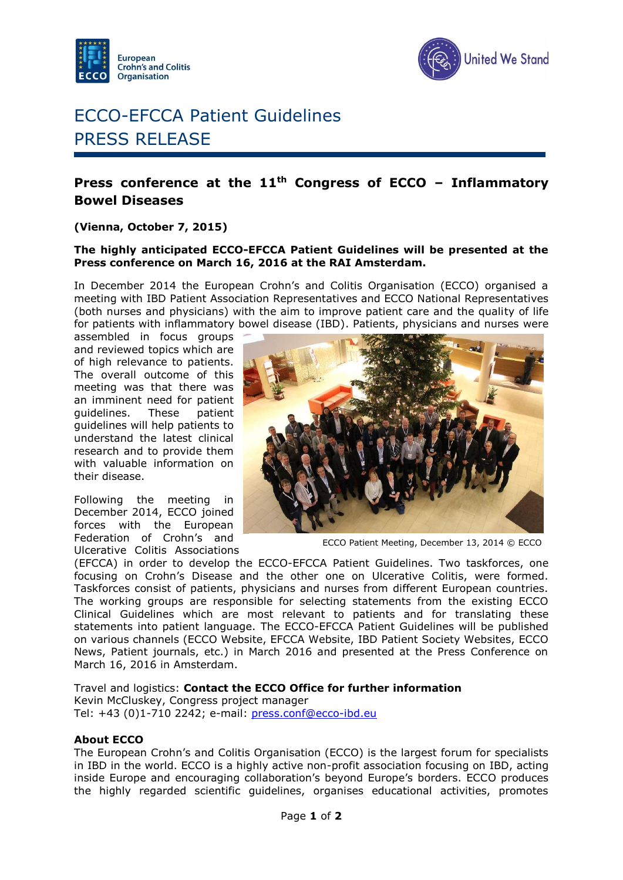



# ECCO-EFCCA Patient Guidelines PRESS RELEASE

## **Press conference at the 11th Congress of ECCO – Inflammatory Bowel Diseases**

### **(Vienna, October 7, 2015)**

#### **The highly anticipated ECCO-EFCCA Patient Guidelines will be presented at the Press conference on March 16, 2016 at the RAI Amsterdam.**

In December 2014 the European Crohn's and Colitis Organisation (ECCO) organised a meeting with IBD Patient Association Representatives and ECCO National Representatives (both nurses and physicians) with the aim to improve patient care and the quality of life for patients with inflammatory bowel disease (IBD). Patients, physicians and nurses were

assembled in focus groups and reviewed topics which are of high relevance to patients. The overall outcome of this meeting was that there was an imminent need for patient guidelines. These patient guidelines will help patients to understand the latest clinical research and to provide them with valuable information on their disease.

Following the meeting in December 2014, ECCO joined forces with the European Federation of Crohn's and Ulcerative Colitis Associations



ECCO Patient Meeting, December 13, 2014 © ECCO

(EFCCA) in order to develop the ECCO-EFCCA Patient Guidelines. Two taskforces, one focusing on Crohn's Disease and the other one on Ulcerative Colitis, were formed. Taskforces consist of patients, physicians and nurses from different European countries. The working groups are responsible for selecting statements from the existing ECCO Clinical Guidelines which are most relevant to patients and for translating these statements into patient language. The ECCO-EFCCA Patient Guidelines will be published on various channels (ECCO Website, EFCCA Website, IBD Patient Society Websites, ECCO News, Patient journals, etc.) in March 2016 and presented at the Press Conference on March 16, 2016 in Amsterdam.

#### Travel and logistics: **Contact the ECCO Office for further information**

Kevin McCluskey, Congress project manager Tel: +43 (0)1-710 2242; e-mail: [press.conf@ecco-ibd.eu](mailto:press.conf@ecco-ibd.eu)

#### **About ECCO**

The European Crohn's and Colitis Organisation (ECCO) is the largest forum for specialists in IBD in the world. ECCO is a highly active non-profit association focusing on IBD, acting inside Europe and encouraging collaboration's beyond Europe's borders. ECCO produces the highly regarded scientific guidelines, organises educational activities, promotes